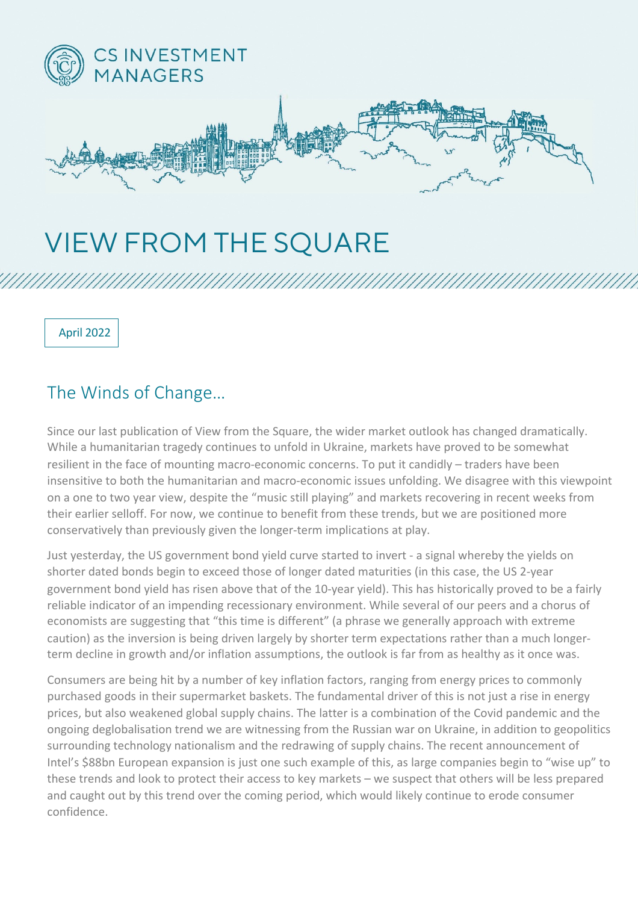

## VIEW FROM THE SQUARE

April 2022

## The Winds of Change…

Since our last publication of View from the Square, the wider market outlook has changed dramatically. While a humanitarian tragedy continues to unfold in Ukraine, markets have proved to be somewhat resilient in the face of mounting macro-economic concerns. To put it candidly – traders have been insensitive to both the humanitarian and macro-economic issues unfolding. We disagree with this viewpoint on a one to two year view, despite the "music still playing" and markets recovering in recent weeks from their earlier selloff. For now, we continue to benefit from these trends, but we are positioned more conservatively than previously given the longer-term implications at play.

Just yesterday, the US government bond yield curve started to invert - a signal whereby the yields on shorter dated bonds begin to exceed those of longer dated maturities (in this case, the US 2-year government bond yield has risen above that of the 10-year yield). This has historically proved to be a fairly reliable indicator of an impending recessionary environment. While several of our peers and a chorus of economists are suggesting that "this time is different" (a phrase we generally approach with extreme caution) as the inversion is being driven largely by shorter term expectations rather than a much longerterm decline in growth and/or inflation assumptions, the outlook is far from as healthy as it once was.

Consumers are being hit by a number of key inflation factors, ranging from energy prices to commonly purchased goods in their supermarket baskets. The fundamental driver of this is not just a rise in energy prices, but also weakened global supply chains. The latter is a combination of the Covid pandemic and the ongoing deglobalisation trend we are witnessing from the Russian war on Ukraine, in addition to geopolitics surrounding technology nationalism and the redrawing of supply chains. The recent announcement of Intel's \$88bn European expansion is just one such example of this, as large companies begin to "wise up" to these trends and look to protect their access to key markets – we suspect that others will be less prepared and caught out by this trend over the coming period, which would likely continue to erode consumer confidence.